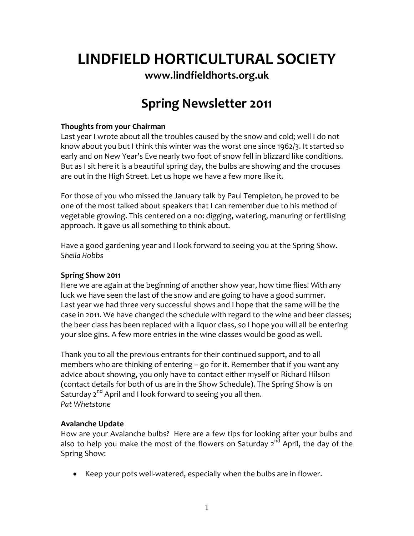# **LINDFIELD HORTICULTURAL SOCIETY**

**[www.lindfieldhorts.org.uk](http://www.lindfieldhorts.org.uk/)**

# **Spring Newsletter 2011**

## **Thoughts from your Chairman**

Last year I wrote about all the troubles caused by the snow and cold; well I do not know about you but I think this winter was the worst one since 1962/3. It started so early and on New Year's Eve nearly two foot of snow fell in blizzard like conditions. But as I sit here it is a beautiful spring day, the bulbs are showing and the crocuses are out in the High Street. Let us hope we have a few more like it.

For those of you who missed the January talk by Paul Templeton, he proved to be one of the most talked about speakers that I can remember due to his method of vegetable growing. This centered on a no: digging, watering, manuring or fertilising approach. It gave us all something to think about.

Have a good gardening year and I look forward to seeing you at the Spring Show. *Sheila Hobbs*

#### **Spring Show 2011**

Here we are again at the beginning of another show year, how time flies! With any luck we have seen the last of the snow and are going to have a good summer. Last year we had three very successful shows and I hope that the same will be the case in 2011. We have changed the schedule with regard to the wine and beer classes; the beer class has been replaced with a liquor class, so I hope you will all be entering your sloe gins. A few more entries in the wine classes would be good as well.

Thank you to all the previous entrants for their continued support, and to all members who are thinking of entering – go for it. Remember that if you want any advice about showing, you only have to contact either myself or Richard Hilson (contact details for both of us are in the Show Schedule). The Spring Show is on Saturday  $2^{nd}$  April and I look forward to seeing you all then. *Pat Whetstone*

#### **Avalanche Update**

How are your Avalanche bulbs? Here are a few tips for looking after your bulbs and also to help you make the most of the flowers on Saturday  $2^{nd}$  April, the day of the Spring Show:

• Keep your pots well-watered, especially when the bulbs are in flower.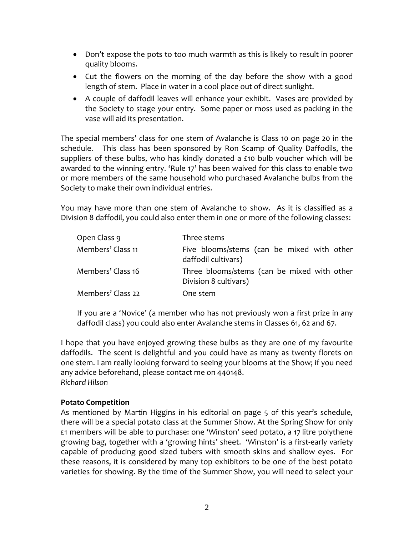- Don't expose the pots to too much warmth as this is likely to result in poorer quality blooms.
- Cut the flowers on the morning of the day before the show with a good length of stem. Place in water in a cool place out of direct sunlight.
- A couple of daffodil leaves will enhance your exhibit. Vases are provided by the Society to stage your entry. Some paper or moss used as packing in the vase will aid its presentation.

The special members' class for one stem of Avalanche is Class 10 on page 20 in the schedule. This class has been sponsored by Ron Scamp of Quality Daffodils, the suppliers of these bulbs, who has kindly donated a £10 bulb voucher which will be awarded to the winning entry. 'Rule 17' has been waived for this class to enable two or more members of the same household who purchased Avalanche bulbs from the Society to make their own individual entries.

You may have more than one stem of Avalanche to show. As it is classified as a Division 8 daffodil, you could also enter them in one or more of the following classes:

| Open Class 9      | Three stems                                                          |
|-------------------|----------------------------------------------------------------------|
| Members' Class 11 | Five blooms/stems (can be mixed with other<br>daffodil cultivars)    |
| Members' Class 16 | Three blooms/stems (can be mixed with other<br>Division 8 cultivars) |
| Members' Class 22 | One stem                                                             |

If you are a 'Novice' (a member who has not previously won a first prize in any daffodil class) you could also enter Avalanche stems in Classes 61, 62 and 67.

I hope that you have enjoyed growing these bulbs as they are one of my favourite daffodils. The scent is delightful and you could have as many as twenty florets on one stem. I am really looking forward to seeing your blooms at the Show; if you need any advice beforehand, please contact me on 440148. *Richard Hilson*

#### **Potato Competition**

As mentioned by Martin Higgins in his editorial on page 5 of this year's schedule, there will be a special potato class at the Summer Show. At the Spring Show for only £1 members will be able to purchase: one 'Winston' seed potato, a 17 litre polythene growing bag, together with a 'growing hints' sheet. 'Winston' is a first‐early variety capable of producing good sized tubers with smooth skins and shallow eyes. For these reasons, it is considered by many top exhibitors to be one of the best potato varieties for showing. By the time of the Summer Show, you will need to select your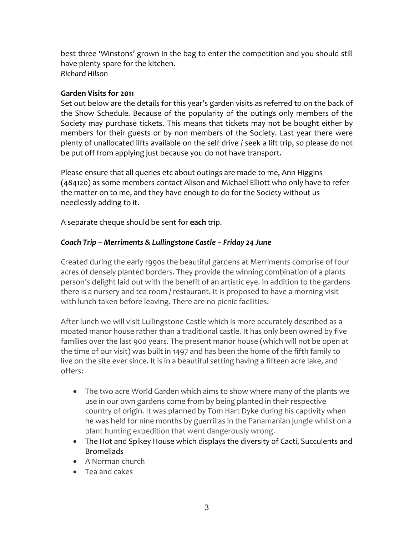best three 'Winstons' grown in the bag to enter the competition and you should still have plenty spare for the kitchen. *Richard Hilson*

#### **Garden Visits for 2011**

Set out below are the details for this year's garden visits as referred to on the back of the Show Schedule. Because of the popularity of the outings only members of the Society may purchase tickets. This means that tickets may not be bought either by members for their guests or by non members of the Society. Last year there were plenty of unallocated lifts available on the self drive / seek a lift trip, so please do not be put off from applying just because you do not have transport.

Please ensure that all queries etc about outings are made to me, Ann Higgins (484120) as some members contact Alison and Michael Elliott who only have to refer the matter on to me, and they have enough to do for the Society without us needlessly adding to it.

A separate cheque should be sent for **each** trip.

# *Coach Trip – Merriments & Lullingstone Castle – Friday 24 June*

Created during the early 1990s the beautiful gardens at Merriments comprise of four acres of densely planted borders. They provide the winning combination of a plants person's delight laid out with the benefit of an artistic eye. In addition to the gardens there is a nursery and tea room / restaurant. It is proposed to have a morning visit with lunch taken before leaving. There are no picnic facilities.

After lunch we will visit Lullingstone Castle which is more accurately described as a moated manor house rather than a traditional castle. It has only been owned by five families over the last 900 years. The present manor house (which will not be open at the time of our visit) was built in 1497 and has been the home of the fifth family to live on the site ever since. It is in a beautiful setting having a fifteen acre lake, and offers:

- The two acre World Garden which aims to show where many of the plants we use in our own gardens come from by being planted in their respective country of origin. It was planned by Tom Hart Dyke during his captivity when he was held for nine months by guerrillas in the Panamanian jungle whilst on a plant hunting expedition that went dangerously wrong.
- The Hot and Spikey House which displays the diversity of Cacti, Succulents and **Bromeliads**
- A Norman church
- Tea and cakes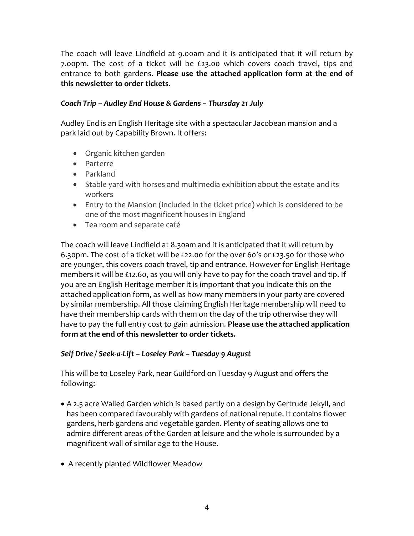The coach will leave Lindfield at 9.00am and it is anticipated that it will return by 7.00pm. The cost of a ticket will be £23.00 which covers coach travel, tips and entrance to both gardens. **Please use the attached application form at the end of this newsletter to order tickets.**

## *Coach Trip – Audley End House & Gardens – Thursday 21 July*

Audley End is an English Heritage site with a spectacular Jacobean mansion and a park laid out by Capability Brown. It offers:

- Organic kitchen garden
- Parterre
- Parkland
- Stable yard with horses and multimedia exhibition about the estate and its workers
- Entry to the Mansion (included in the ticket price) which is considered to be one of the most magnificent houses in England
- Tea room and separate café

The coach will leave Lindfield at 8.30am and it is anticipated that it will return by 6.30pm. The cost of a ticket will be £22.00 for the over 60's or £23.50 for those who are younger, this covers coach travel, tip and entrance. However for English Heritage members it will be £12.60, as you will only have to pay for the coach travel and tip. If you are an English Heritage member it is important that you indicate this on the attached application form, as well as how many members in your party are covered by similar membership. All those claiming English Heritage membership will need to have their membership cards with them on the day of the trip otherwise they will have to pay the full entry cost to gain admission. **Please use the attached application form at the end of this newsletter to order tickets.**

# *Self Drive / Seek‐a‐Lift – Loseley Park – Tuesday 9 August*

This will be to Loseley Park, near Guildford on Tuesday 9 August and offers the following:

- A 2.5 acre Walled Garden which is based partly on a design by Gertrude Jekyll, and has been compared favourably with gardens of national repute. It contains flower gardens, herb gardens and vegetable garden. Plenty of seating allows one to admire different areas of the Garden at leisure and the whole is surrounded by a magnificent wall of similar age to the House.
- A recently planted Wildflower Meadow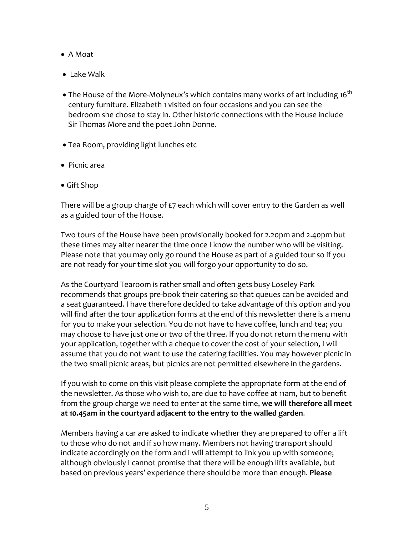- A Moat
- Lake Walk
- The House of the More-Molyneux's which contains many works of art including 16<sup>th</sup> century furniture. Elizabeth 1 visited on four occasions and you can see the bedroom she chose to stay in. Other historic connections with the House include Sir Thomas More and the poet John Donne.
- Tea Room, providing light lunches etc
- Picnic area
- Gift Shop

There will be a group charge of £7 each which will cover entry to the Garden as well as a guided tour of the House.

Two tours of the House have been provisionally booked for 2.20pm and 2.40pm but these times may alter nearer the time once I know the number who will be visiting. Please note that you may only go round the House as part of a guided tour so if you are not ready for your time slot you will forgo your opportunity to do so.

As the Courtyard Tearoom is rather small and often gets busy Loseley Park recommends that groups pre‐book their catering so that queues can be avoided and a seat guaranteed. I have therefore decided to take advantage of this option and you will find after the tour application forms at the end of this newsletter there is a menu for you to make your selection. You do not have to have coffee, lunch and tea; you may choose to have just one or two of the three. If you do not return the menu with your application, together with a cheque to cover the cost of your selection, I will assume that you do not want to use the catering facilities. You may however picnic in the two small picnic areas, but picnics are not permitted elsewhere in the gardens.

If you wish to come on this visit please complete the appropriate form at the end of the newsletter. As those who wish to, are due to have coffee at 11am, but to benefit from the group charge we need to enter at the same time, **we will therefore all meet at 10.45am in the courtyard adjacent to the entry to the walled garden**.

Members having a car are asked to indicate whether they are prepared to offer a lift to those who do not and if so how many. Members not having transport should indicate accordingly on the form and I will attempt to link you up with someone; although obviously I cannot promise that there will be enough lifts available, but based on previous years' experience there should be more than enough. **Please**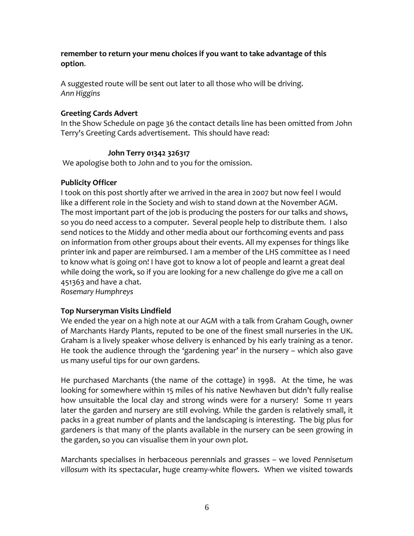**remember to return your menu choices if you want to take advantage of this option**.

A suggested route will be sent out later to all those who will be driving. *Ann Higgins*

### **Greeting Cards Advert**

In the Show Schedule on page 36 the contact details line has been omitted from John Terry's Greeting Cards advertisement. This should have read:

### **John Terry 01342 326317**

We apologise both to John and to you for the omission.

### **Publicity Officer**

I took on this post shortly after we arrived in the area in 2007 but now feel I would like a different role in the Society and wish to stand down at the November AGM. The most important part of the job is producing the posters for our talks and shows, so you do need access to a computer. Several people help to distribute them. I also send notices to the Middy and other media about our forthcoming events and pass on information from other groups about their events. All my expenses for things like printer ink and paper are reimbursed. I am a member of the LHS committee as I need to know what is going on! I have got to know a lot of people and learnt a great deal while doing the work, so if you are looking for a new challenge do give me a call on 451363 and have a chat.

*Rosemary Humphreys*

# **Top Nurseryman Visits Lindfield**

We ended the year on a high note at our AGM with a talk from Graham Gough, owner of Marchants Hardy Plants, reputed to be one of the finest small nurseries in the UK. Graham is a lively speaker whose delivery is enhanced by his early training as a tenor. He took the audience through the 'gardening year' in the nursery – which also gave us many useful tips for our own gardens.

He purchased Marchants (the name of the cottage) in 1998. At the time, he was looking for somewhere within 15 miles of his native Newhaven but didn't fully realise how unsuitable the local clay and strong winds were for a nursery! Some 11 years later the garden and nursery are still evolving. While the garden is relatively small, it packs in a great number of plants and the landscaping is interesting. The big plus for gardeners is that many of the plants available in the nursery can be seen growing in the garden, so you can visualise them in your own plot.

Marchants specialises in herbaceous perennials and grasses – we loved *Pennisetum villosum* with its spectacular, huge creamy‐white flowers. When we visited towards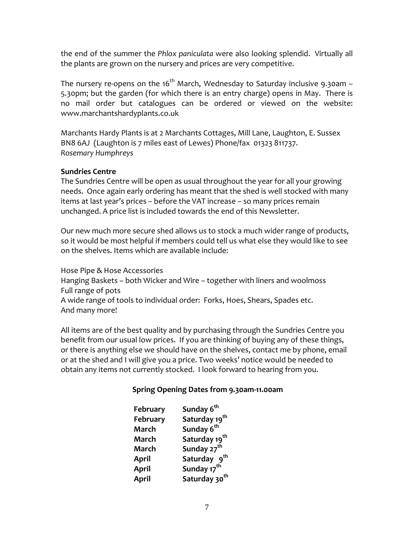the end of the summer the *Phlox paniculata* were also looking splendid. Virtually all the plants are grown on the nursery and prices are very competitive.

The nursery re-opens on the 16<sup>th</sup> March, Wednesday to Saturday inclusive 9.30am – 5.30pm; but the garden (for which there is an entry charge) opens in May. There is no mail order but catalogues can be ordered or viewed on the website: [www.marchantshardyplants.co.uk](http://www.marchantshardyplants.co.uk/)

Marchants Hardy Plants is at 2 Marchants Cottages, Mill Lane, Laughton, E. Sussex BN8 6AJ (Laughton is 7 miles east of Lewes) Phone/fax 01323 811737. *Rosemary Humphreys*

#### **Sundries Centre**

The Sundries Centre will be open as usual throughout the year for all your growing needs. Once again early ordering has meant that the shed is well stocked with many items at last year's prices – before the VAT increase – so many prices remain unchanged. A price list is included towards the end of this Newsletter.

Our new much more secure shed allows us to stock a much wider range of products, so it would be most helpful if members could tell us what else they would like to see on the shelves. Items which are available include:

Hose Pipe & Hose Accessories Hanging Baskets – both Wicker and Wire – together with liners and woolmoss Full range of pots A wide range of tools to individual order: Forks, Hoes, Shears, Spades etc. And many more!

All items are of the best quality and by purchasing through the Sundries Centre you benefit from our usual low prices. If you are thinking of buying any of these things, or there is anything else we should have on the shelves, contact me by phone, email or at the shed and I will give you a price. Two weeks' notice would be needed to obtain any items not currently stocked. I look forward to hearing from you.

# **Spring Opening Dates from 9.30am‐11.00am**

| February     | Sunday 6 <sup>th</sup>    |
|--------------|---------------------------|
| February     | Saturday 19 <sup>th</sup> |
| March        | Sunday 6 <sup>th</sup>    |
| March        | Saturday 19 <sup>th</sup> |
| March        | Sunday 27 <sup>th</sup>   |
| April        | Saturday 9 <sup>th</sup>  |
| <b>April</b> | Sunday 17 <sup>th</sup>   |
| <b>April</b> | Saturday 30 <sup>th</sup> |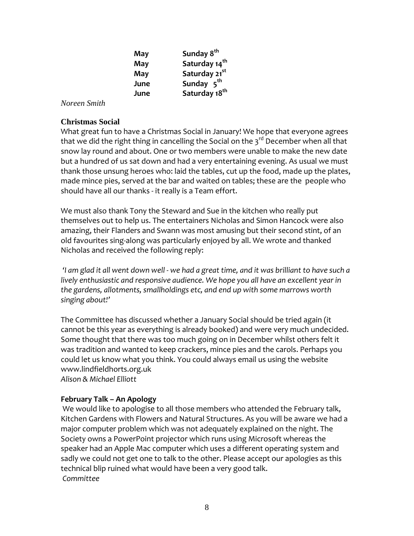| May  | Sunday 8 <sup>th</sup>    |
|------|---------------------------|
| May  | Saturday 14 <sup>th</sup> |
| May  | Saturday 21 <sup>st</sup> |
| June | Sunday 5 <sup>th</sup>    |
| June | Saturday 18 <sup>th</sup> |

*Noreen Smith* 

#### **Christmas Social**

What great fun to have a Christmas Social in January! We hope that everyone agrees that we did the right thing in cancelling the Social on the  $3<sup>rd</sup>$  December when all that snow lay round and about. One or two members were unable to make the new date but a hundred of us sat down and had a very entertaining evening. As usual we must thank those unsung heroes who: laid the tables, cut up the food, made up the plates, made mince pies, served at the bar and waited on tables; these are the people who should have all our thanks ‐ it really is a Team effort.

We must also thank Tony the Steward and Sue in the kitchen who really put themselves out to help us. The entertainers Nicholas and Simon Hancock were also amazing, their Flanders and Swann was most amusing but their second stint, of an old favourites sing‐along was particularly enjoyed by all. We wrote and thanked Nicholas and received the following reply:

'I am glad it all went down well - we had a great time, and it was brilliant to have such a *lively enthusiastic and responsive audience. We hope you all have an excellent year in the gardens, allotments, smallholdings etc, and end up with some marrows worth singing about!'*

The Committee has discussed whether a January Social should be tried again (it cannot be this year as everything is already booked) and were very much undecided. Some thought that there was too much going on in December whilst others felt it was tradition and wanted to keep crackers, mince pies and the carols. Perhaps you could let us know what you think. You could always email us using the website [www.lindfieldhorts.org.uk](http://www.lindfieldhorts.org.uk/) *Alison & Michael Elliott*

# **February Talk – An Apology**

We would like to apologise to all those members who attended the February talk, Kitchen Gardens with Flowers and Natural Structures. As you will be aware we had a major computer problem which was not adequately explained on the night. The Society owns a PowerPoint projector which runs using Microsoft whereas the speaker had an Apple Mac computer which uses a different operating system and sadly we could not get one to talk to the other. Please accept our apologies as this technical blip ruined what would have been a very good talk. *Committee*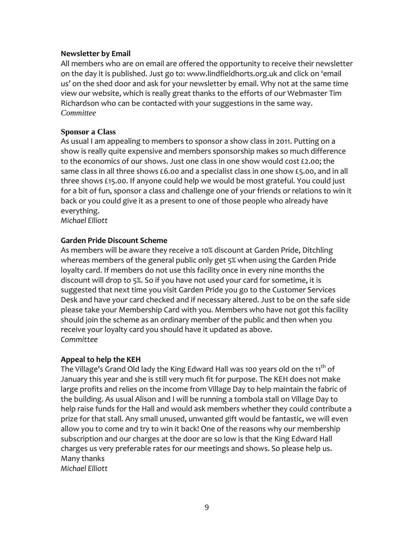#### **Newsletter by Email**

All members who are on email are offered the opportunity to receive their newsletter on the day it is published. Just go to: [www.lindfieldhorts.org.uk](http://www.lindfieldhorts.org.uk/) and click on 'email us' on the shed door and ask for your newsletter by email. Why not at the same time view our website, which is really great thanks to the efforts of our Webmaster Tim Richardson who can be contacted with your suggestions in the same way. *Committee* 

#### **Sponsor a Class**

As usual I am appealing to members to sponsor a show class in 2011. Putting on a show is really quite expensive and members sponsorship makes so much difference to the economics of our shows. Just one class in one show would cost £2.00; the same class in all three shows £6.00 and a specialist class in one show £5.00, and in all three shows £15.00. If anyone could help we would be most grateful. You could just for a bit of fun, sponsor a class and challenge one of your friends or relations to win it back or you could give it as a present to one of those people who already have everything.

*Michael Elliott*

#### **Garden Pride Discount Scheme**

As members will be aware they receive a 10% discount at Garden Pride, Ditchling whereas members of the general public only get 5% when using the Garden Pride loyalty card. If members do not use this facility once in every nine months the discount will drop to 5%. So if you have not used your card for sometime, it is suggested that next time you visit Garden Pride you go to the Customer Services Desk and have your card checked and if necessary altered. Just to be on the safe side please take your Membership Card with you. Members who have not got this facility should join the scheme as an ordinary member of the public and then when you receive your loyalty card you should have it updated as above. *Committee*

#### **Appeal to help the KEH**

The Village's Grand Old lady the King Edward Hall was 100 years old on the 11<sup>th</sup> of January this year and she is still very much fit for purpose. The KEH does not make large profits and relies on the income from Village Day to help maintain the fabric of the building. As usual Alison and I will be running a tombola stall on Village Day to help raise funds for the Hall and would ask members whether they could contribute a prize for that stall. Any small unused, unwanted gift would be fantastic, we will even allow you to come and try to win it back! One of the reasons why our membership subscription and our charges at the door are so low is that the King Edward Hall charges us very preferable rates for our meetings and shows. So please help us. Many thanks *Michael Elliott*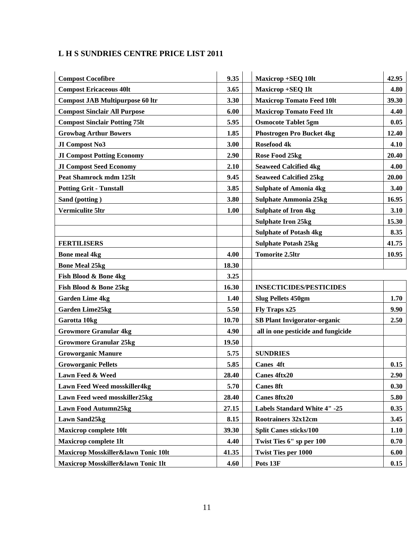# **L H S SUNDRIES CENTRE PRICE LIST 2011**

| <b>Compost Cocofibre</b>               | 9.35  | <b>Maxicrop +SEQ 10lt</b><br>42.95          |       |
|----------------------------------------|-------|---------------------------------------------|-------|
| <b>Compost Ericaceous 40lt</b>         | 3.65  | Maxicrop +SEQ 1lt                           | 4.80  |
| <b>Compost JAB Multipurpose 60 ltr</b> | 3.30  | 39.30<br><b>Maxicrop Tomato Feed 10lt</b>   |       |
| <b>Compost Sinclair All Purpose</b>    | 6.00  | <b>Maxicrop Tomato Feed 1lt</b>             | 4.40  |
| <b>Compost Sinclair Potting 75lt</b>   | 5.95  | <b>Osmocote Tablet 5gm</b>                  | 0.05  |
| <b>Growbag Arthur Bowers</b>           | 1.85  | <b>Phostrogen Pro Bucket 4kg</b>            | 12.40 |
| JI Compost No3                         | 3.00  | Rosefood 4k                                 | 4.10  |
| <b>JI Compost Potting Economy</b>      | 2.90  | Rose Food 25kg                              | 20.40 |
| <b>JI Compost Seed Economy</b>         | 2.10  | <b>Seaweed Calcified 4kg</b>                | 4.00  |
| <b>Peat Shamrock mdm 125lt</b>         | 9.45  | <b>Seaweed Calcified 25kg</b>               | 20.00 |
| <b>Potting Grit - Tunstall</b>         | 3.85  | <b>Sulphate of Amonia 4kg</b><br>3.40       |       |
| Sand (potting)                         | 3.80  | <b>Sulphate Ammonia 25kg</b>                | 16.95 |
| <b>Vermiculite 5ltr</b>                | 1.00  | <b>Sulphate of Iron 4kg</b>                 | 3.10  |
|                                        |       | <b>Sulphate Iron 25kg</b>                   | 15.30 |
|                                        |       | <b>Sulphate of Potash 4kg</b>               | 8.35  |
| <b>FERTILISERS</b>                     |       | <b>Sulphate Potash 25kg</b>                 | 41.75 |
| <b>Bone meal 4kg</b>                   | 4.00  | <b>Tomorite 2.5ltr</b>                      | 10.95 |
| <b>Bone Meal 25kg</b>                  | 18.30 |                                             |       |
| Fish Blood & Bone 4kg                  | 3.25  |                                             |       |
| Fish Blood & Bone 25kg                 | 16.30 | <b>INSECTICIDES/PESTICIDES</b>              |       |
| <b>Garden Lime 4kg</b>                 | 1.40  | 1.70<br><b>Slug Pellets 450gm</b>           |       |
| <b>Garden Lime25kg</b>                 | 5.50  | Fly Traps x25<br>9.90                       |       |
| Garotta 10kg                           | 10.70 | <b>SB Plant Invigorator-organic</b><br>2.50 |       |
| <b>Growmore Granular 4kg</b>           | 4.90  | all in one pesticide and fungicide          |       |
| <b>Growmore Granular 25kg</b>          | 19.50 |                                             |       |
| <b>Groworganic Manure</b>              | 5.75  | <b>SUNDRIES</b>                             |       |
| <b>Groworganic Pellets</b>             | 5.85  | <b>Canes 4ft</b>                            | 0.15  |
| Lawn Feed & Weed                       | 28.40 | <b>Canes 4ftx20</b>                         | 2.90  |
| Lawn Feed Weed mosskiller4kg           | 5.70  | <b>Canes 8ft</b>                            | 0.30  |
| Lawn Feed weed mosskiller25kg          | 28.40 | <b>Canes 8ftx20</b>                         | 5.80  |
| <b>Lawn Food Autumn25kg</b>            | 27.15 | Labels Standard White 4" -25                | 0.35  |
| <b>Lawn Sand25kg</b>                   | 8.15  | <b>Rootrainers 32x12cm</b>                  | 3.45  |
| <b>Maxicrop complete 10lt</b>          | 39.30 | <b>Split Canes sticks/100</b>               | 1.10  |
| <b>Maxicrop complete 1lt</b>           | 4.40  | Twist Ties 6" sp per 100                    | 0.70  |
| Maxicrop Mosskiller&lawn Tonic 10lt    | 41.35 | <b>Twist Ties per 1000</b>                  | 6.00  |
| Maxicrop Mosskiller&lawn Tonic 1lt     | 4.60  | Pots 13F                                    | 0.15  |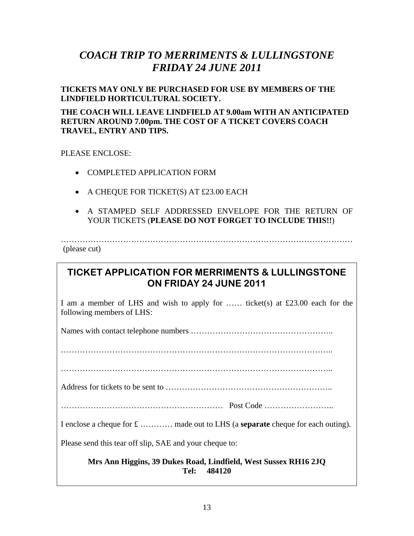# *COACH TRIP TO MERRIMENTS & LULLINGSTONE FRIDAY 24 JUNE 2011*

**TICKETS MAY ONLY BE PURCHASED FOR USE BY MEMBERS OF THE LINDFIELD HORTICULTURAL SOCIETY.** 

**THE COACH WILL LEAVE LINDFIELD AT 9.00am WITH AN ANTICIPATED RETURN AROUND 7.00pm. THE COST OF A TICKET COVERS COACH TRAVEL, ENTRY AND TIPS.** 

PLEASE ENCLOSE:

- COMPLETED APPLICATION FORM
- A CHEQUE FOR TICKET(S) AT £23.00 EACH
- A STAMPED SELF ADDRESSED ENVELOPE FOR THE RETURN OF YOUR TICKETS (**PLEASE DO NOT FORGET TO INCLUDE THIS!!**)

(please cut)

# **TICKET APPLICATION FOR MERRIMENTS & LULLINGSTONE ON FRIDAY 24 JUNE 2011**

………………………………………………………………………………………………

I am a member of LHS and wish to apply for …… ticket(s) at £23.00 each for the following members of LHS:

Names with contact telephone numbers ……………………………………………..

………………………………………………………………………………………..

………………………………………………………………………………………..

Address for tickets to be sent to ……………………………………………………..

…………………………………………………… Post Code ……………………..

I enclose a cheque for £ ………… made out to LHS (a **separate** cheque for each outing).

Please send this tear off slip, SAE and your cheque to:

**Mrs Ann Higgins, 39 Dukes Road, Lindfield, West Sussex RH16 2JQ Tel: 484120**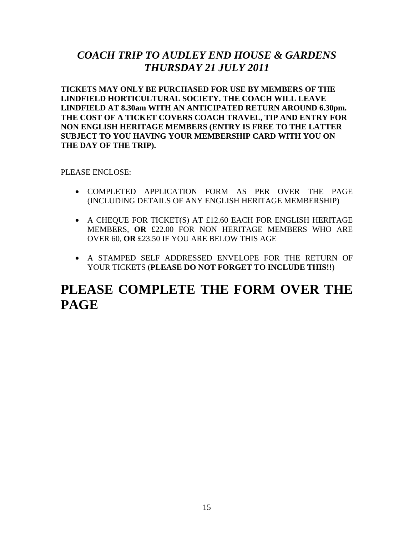# *COACH TRIP TO AUDLEY END HOUSE & GARDENS THURSDAY 21 JULY 2011*

**TICKETS MAY ONLY BE PURCHASED FOR USE BY MEMBERS OF THE LINDFIELD HORTICULTURAL SOCIETY. THE COACH WILL LEAVE LINDFIELD AT 8.30am WITH AN ANTICIPATED RETURN AROUND 6.30pm. THE COST OF A TICKET COVERS COACH TRAVEL, TIP AND ENTRY FOR NON ENGLISH HERITAGE MEMBERS (ENTRY IS FREE TO THE LATTER SUBJECT TO YOU HAVING YOUR MEMBERSHIP CARD WITH YOU ON THE DAY OF THE TRIP).** 

#### PLEASE ENCLOSE:

- COMPLETED APPLICATION FORM AS PER OVER THE PAGE (INCLUDING DETAILS OF ANY ENGLISH HERITAGE MEMBERSHIP)
- A CHEQUE FOR TICKET(S) AT £12.60 EACH FOR ENGLISH HERITAGE MEMBERS, **OR** £22.00 FOR NON HERITAGE MEMBERS WHO ARE OVER 60, **OR** £23.50 IF YOU ARE BELOW THIS AGE
- A STAMPED SELF ADDRESSED ENVELOPE FOR THE RETURN OF YOUR TICKETS (**PLEASE DO NOT FORGET TO INCLUDE THIS!!**)

# **PLEASE COMPLETE THE FORM OVER THE PAGE**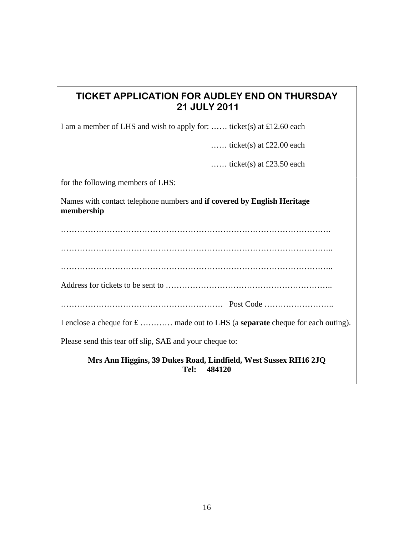…… ticket(s) at £23.50 each

for the following members of LHS:

Names with contact telephone numbers and **if covered by English Heritage membership** 

………………………………………………………………………………………. ……………………………………………………………………………………….. ……………………………………………………………………………………….. Address for tickets to be sent to …………………………………………………….. …………………………………………………… Post Code …………………….. I enclose a cheque for £ ………… made out to LHS (a **separate** cheque for each outing). Please send this tear off slip, SAE and your cheque to:

**Mrs Ann Higgins, 39 Dukes Road, Lindfield, West Sussex RH16 2JQ Tel: 484120**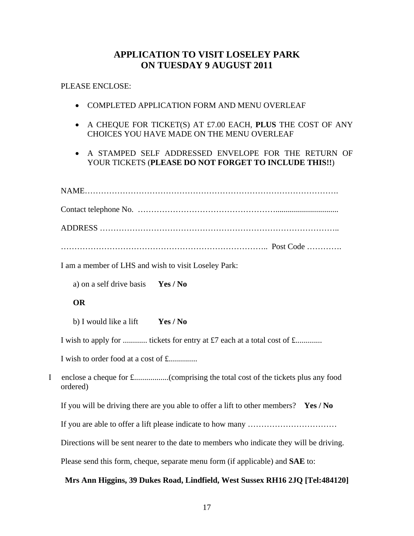# **APPLICATION TO VISIT LOSELEY PARK ON TUESDAY 9 AUGUST 2011**

PLEASE ENCLOSE:

- COMPLETED APPLICATION FORM AND MENU OVERLEAF
- A CHEQUE FOR TICKET(S) AT £7.00 EACH, **PLUS** THE COST OF ANY CHOICES YOU HAVE MADE ON THE MENU OVERLEAF
- A STAMPED SELF ADDRESSED ENVELOPE FOR THE RETURN OF YOUR TICKETS (**PLEASE DO NOT FORGET TO INCLUDE THIS!!**)

|   | I am a member of LHS and wish to visit Loseley Park:                                     |  |  |  |  |
|---|------------------------------------------------------------------------------------------|--|--|--|--|
|   | a) on a self drive basis <b>Yes / No</b>                                                 |  |  |  |  |
|   | <b>OR</b>                                                                                |  |  |  |  |
|   | Yes / No<br>b) I would like a lift                                                       |  |  |  |  |
|   | I wish to apply for  tickets for entry at £7 each at a total cost of £                   |  |  |  |  |
|   | I wish to order food at a cost of £                                                      |  |  |  |  |
| I | ordered)                                                                                 |  |  |  |  |
|   | If you will be driving there are you able to offer a lift to other members? Yes / No     |  |  |  |  |
|   |                                                                                          |  |  |  |  |
|   | Directions will be sent nearer to the date to members who indicate they will be driving. |  |  |  |  |
|   | Please send this form, cheque, separate menu form (if applicable) and <b>SAE</b> to:     |  |  |  |  |
|   | Mrs Ann Higgins, 39 Dukes Road, Lindfield, West Sussex RH16 2JQ [Tel:484120]             |  |  |  |  |
|   |                                                                                          |  |  |  |  |